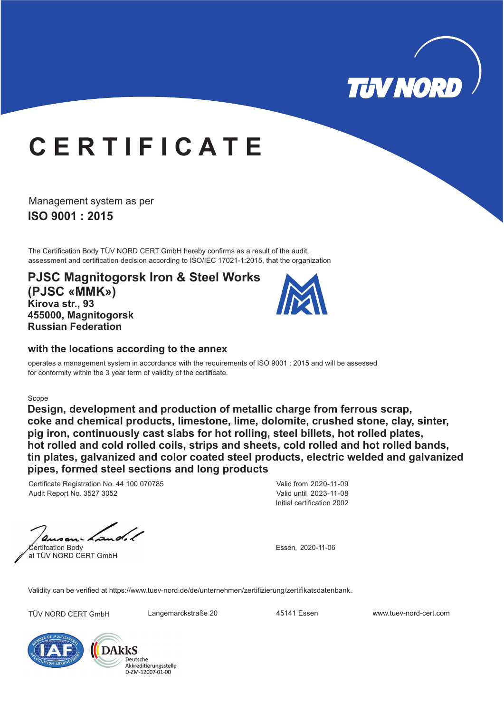

# **C E R T I F I C A T E**

**ISO 9001 : 2015** Management system as per

The Certification Body TÜV NORD CERT GmbH hereby confirms as a result of the audit, assessment and certification decision according to ISO/IEC 17021-1:2015, that the organization

**PJSC Magnitogorsk Iron & Steel Works (PJSC «MMK») Kirova str., 93 455000, Magnitogorsk Russian Federation**



#### **with the locations according to the annex**

operates a management system in accordance with the requirements of ISO 9001 : 2015 and will be assessed for conformity within the 3 year term of validity of the certificate.

#### Scope

**Design, development and production of metallic charge from ferrous scrap, coke and chemical products, limestone, lime, dolomite, crushed stone, clay, sinter, pig iron, continuously cast slabs for hot rolling, steel billets, hot rolled plates, hot rolled and cold rolled coils, strips and sheets, cold rolled and hot rolled bands, tin plates, galvanized and color coated steel products, electric welded and galvanized pipes, formed steel sections and long products**

Certificate Registration No. 44 100 070785 Audit Report No. 3527 3052

Certifcation Body at TÜV NORD CERT GmbH

Initial certification 2002 Valid from 2020-11-09 Valid until 2023-11-08

Essen, 2020-11-06

Validity can be verified at https://www.tuev-nord.de/de/unternehmen/zertifizierung/zertifikatsdatenbank.

TÜV NORD CERT GmbH Langemarckstraße 20 45141 Essen www.tuev-nord-cert.com



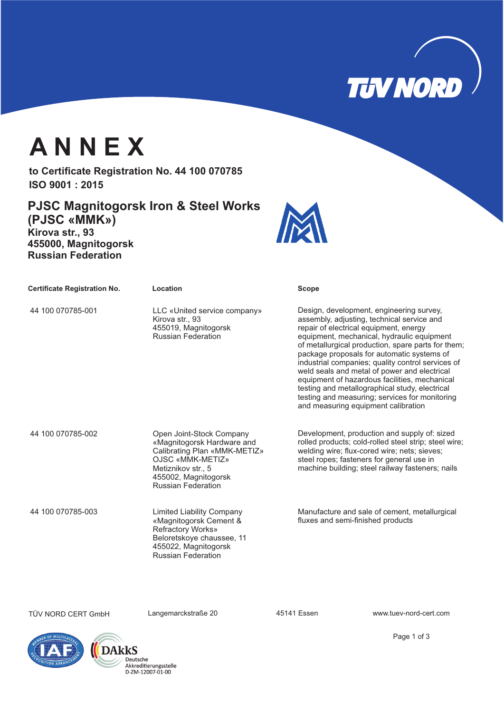

## **A N N E X**

to Certificate Registration No. 44 100 070785 **ISO 9001 : 2015**

**PJSC Magnitogorsk Iron & Steel Works (PJSC «MMK») Kirova str., 93 455000, Magnitogorsk Russian Federation**



| <b>Certificate Registration No.</b> | Location                                                                                                                                                                              | <b>Scope</b>                                                                                                                                                                                                                                                                                                                                                                                                                                                                                                                                                                        |
|-------------------------------------|---------------------------------------------------------------------------------------------------------------------------------------------------------------------------------------|-------------------------------------------------------------------------------------------------------------------------------------------------------------------------------------------------------------------------------------------------------------------------------------------------------------------------------------------------------------------------------------------------------------------------------------------------------------------------------------------------------------------------------------------------------------------------------------|
| 44 100 070785-001                   | LLC «United service company»<br>Kirova str., 93<br>455019, Magnitogorsk<br><b>Russian Federation</b>                                                                                  | Design, development, engineering survey,<br>assembly, adjusting, technical service and<br>repair of electrical equipment, energy<br>equipment, mechanical, hydraulic equipment<br>of metallurgical production, spare parts for them;<br>package proposals for automatic systems of<br>industrial companies; quality control services of<br>weld seals and metal of power and electrical<br>equipment of hazardous facilities, mechanical<br>testing and metallographical study, electrical<br>testing and measuring; services for monitoring<br>and measuring equipment calibration |
| 44 100 070785-002                   | Open Joint-Stock Company<br>«Magnitogorsk Hardware and<br>Calibrating Plan «MMK-METIZ»<br>OJSC «MMK-METIZ»<br>Metiznikov str., 5<br>455002, Magnitogorsk<br><b>Russian Federation</b> | Development, production and supply of: sized<br>rolled products; cold-rolled steel strip; steel wire;<br>welding wire; flux-cored wire; nets; sieves;<br>steel ropes; fasteners for general use in<br>machine building; steel railway fasteners; nails                                                                                                                                                                                                                                                                                                                              |
| 44 100 070785-003                   | <b>Limited Liability Company</b><br>«Magnitogorsk Cement &<br><b>Refractory Works»</b><br>Beloretskoye chaussee, 11<br>455022, Magnitogorsk<br><b>Russian Federation</b>              | Manufacture and sale of cement, metallurgical<br>fluxes and semi-finished products                                                                                                                                                                                                                                                                                                                                                                                                                                                                                                  |

TÜV NORD CERT GmbH Langemarckstraße 20 45141 Essen www.tuev-nord-cert.com





Page 1 of 3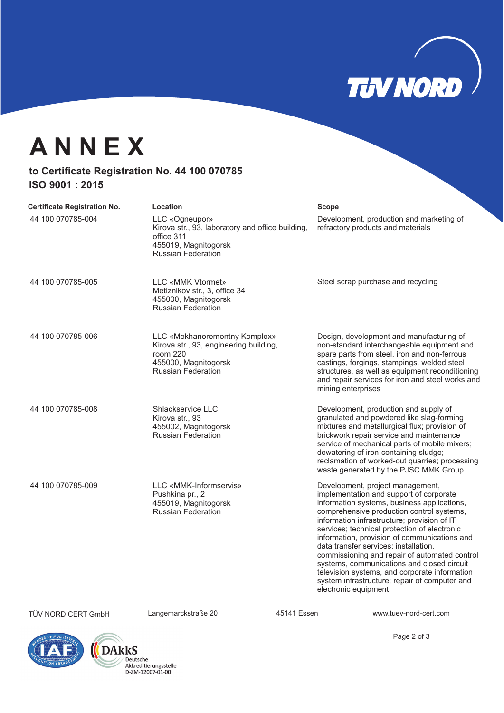

### **A N N E X**

### to Certificate Registration No. 44 100 070785 **ISO 9001 : 2015**

| <b>Certificate Registration No.</b> | Location                                                                                                                                 | Scope                                                                                                                                                                                                                                                                                                                                                                                                                                                                                                                                                                                    |
|-------------------------------------|------------------------------------------------------------------------------------------------------------------------------------------|------------------------------------------------------------------------------------------------------------------------------------------------------------------------------------------------------------------------------------------------------------------------------------------------------------------------------------------------------------------------------------------------------------------------------------------------------------------------------------------------------------------------------------------------------------------------------------------|
| 44 100 070785-004                   | LLC «Ogneupor»<br>Kirova str., 93, laboratory and office building,<br>office 311<br>455019, Magnitogorsk<br><b>Russian Federation</b>    | Development, production and marketing of<br>refractory products and materials                                                                                                                                                                                                                                                                                                                                                                                                                                                                                                            |
| 44 100 070785-005                   | <b>LLC «MMK Vtormet»</b><br>Metiznikov str., 3, office 34<br>455000, Magnitogorsk<br><b>Russian Federation</b>                           | Steel scrap purchase and recycling                                                                                                                                                                                                                                                                                                                                                                                                                                                                                                                                                       |
| 44 100 070785-006                   | LLC «Mekhanoremontny Komplex»<br>Kirova str., 93, engineering building,<br>room 220<br>455000, Magnitogorsk<br><b>Russian Federation</b> | Design, development and manufacturing of<br>non-standard interchangeable equipment and<br>spare parts from steel, iron and non-ferrous<br>castings, forgings, stampings, welded steel<br>structures, as well as equipment reconditioning<br>and repair services for iron and steel works and<br>mining enterprises                                                                                                                                                                                                                                                                       |
| 44 100 070785-008                   | Shlackservice LLC<br>Kirova str., 93<br>455002, Magnitogorsk<br><b>Russian Federation</b>                                                | Development, production and supply of<br>granulated and powdered like slag-forming<br>mixtures and metallurgical flux; provision of<br>brickwork repair service and maintenance<br>service of mechanical parts of mobile mixers;<br>dewatering of iron-containing sludge;<br>reclamation of worked-out quarries; processing<br>waste generated by the PJSC MMK Group                                                                                                                                                                                                                     |
| 44 100 070785-009                   | LLC «MMK-Informservis»<br>Pushkina pr., 2<br>455019, Magnitogorsk<br><b>Russian Federation</b>                                           | Development, project management,<br>implementation and support of corporate<br>information systems, business applications,<br>comprehensive production control systems,<br>information infrastructure; provision of IT<br>services; technical protection of electronic<br>information, provision of communications and<br>data transfer services; installation,<br>commissioning and repair of automated control<br>systems, communications and closed circuit<br>television systems, and corporate information<br>system infrastructure; repair of computer and<br>electronic equipment |
| <b>TÜV NORD CERT GmbH</b>           | Langemarckstraße 20                                                                                                                      | 45141 Essen<br>www.tuev-nord-cert.com                                                                                                                                                                                                                                                                                                                                                                                                                                                                                                                                                    |





Page 2 of 3